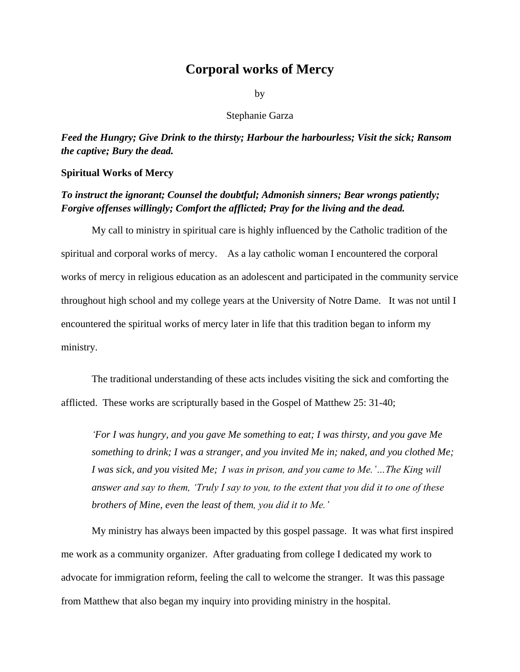## **Corporal works of Mercy**

by

Stephanie Garza

*Feed the Hungry; Give Drink to the thirsty; Harbour the harbourless; Visit the sick; Ransom the captive; Bury the dead.*

## **Spiritual Works of Mercy**

## *To instruct the ignorant; Counsel the doubtful; Admonish sinners; Bear wrongs patiently; Forgive offenses willingly; Comfort the afflicted; Pray for the living and the dead.*

My call to ministry in spiritual care is highly influenced by the Catholic tradition of the spiritual and corporal works of mercy. As a lay catholic woman I encountered the corporal works of mercy in religious education as an adolescent and participated in the community service throughout high school and my college years at the University of Notre Dame. It was not until I encountered the spiritual works of mercy later in life that this tradition began to inform my ministry.

The traditional understanding of these acts includes visiting the sick and comforting the afflicted. These works are scripturally based in the Gospel of Matthew 25: 31-40;

*'For I was hungry, and you gave Me something to eat; I was thirsty, and you gave Me something to drink; I was a stranger, and you invited Me in; naked, and you clothed Me; I was sick, and you visited Me; I was in prison, and you came to Me.'…The King will answer and say to them, 'Truly I say to you, to the extent that you did it to one of these brothers of Mine, even the least of them, you did it to Me.'* 

My ministry has always been impacted by this gospel passage. It was what first inspired me work as a community organizer. After graduating from college I dedicated my work to advocate for immigration reform, feeling the call to welcome the stranger. It was this passage from Matthew that also began my inquiry into providing ministry in the hospital.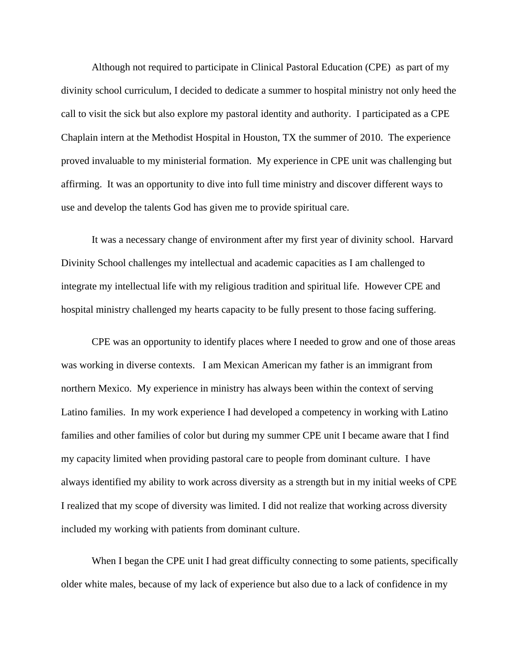Although not required to participate in Clinical Pastoral Education (CPE) as part of my divinity school curriculum, I decided to dedicate a summer to hospital ministry not only heed the call to visit the sick but also explore my pastoral identity and authority. I participated as a CPE Chaplain intern at the Methodist Hospital in Houston, TX the summer of 2010. The experience proved invaluable to my ministerial formation. My experience in CPE unit was challenging but affirming. It was an opportunity to dive into full time ministry and discover different ways to use and develop the talents God has given me to provide spiritual care.

It was a necessary change of environment after my first year of divinity school. Harvard Divinity School challenges my intellectual and academic capacities as I am challenged to integrate my intellectual life with my religious tradition and spiritual life. However CPE and hospital ministry challenged my hearts capacity to be fully present to those facing suffering.

CPE was an opportunity to identify places where I needed to grow and one of those areas was working in diverse contexts. I am Mexican American my father is an immigrant from northern Mexico. My experience in ministry has always been within the context of serving Latino families. In my work experience I had developed a competency in working with Latino families and other families of color but during my summer CPE unit I became aware that I find my capacity limited when providing pastoral care to people from dominant culture. I have always identified my ability to work across diversity as a strength but in my initial weeks of CPE I realized that my scope of diversity was limited. I did not realize that working across diversity included my working with patients from dominant culture.

When I began the CPE unit I had great difficulty connecting to some patients, specifically older white males, because of my lack of experience but also due to a lack of confidence in my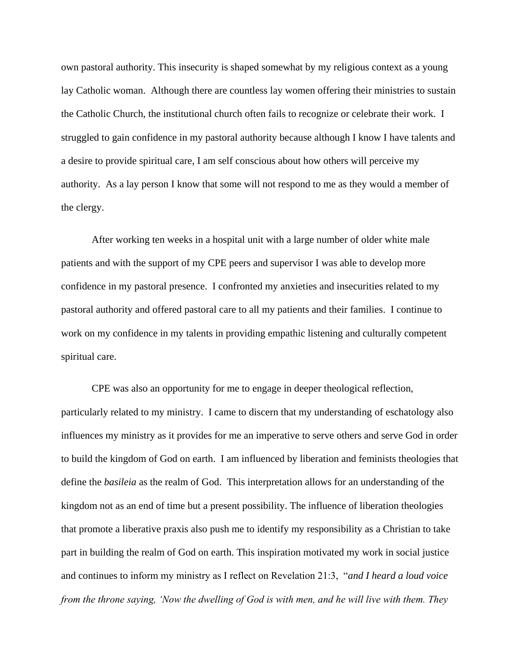own pastoral authority. This insecurity is shaped somewhat by my religious context as a young lay Catholic woman. Although there are countless lay women offering their ministries to sustain the Catholic Church, the institutional church often fails to recognize or celebrate their work. I struggled to gain confidence in my pastoral authority because although I know I have talents and a desire to provide spiritual care, I am self conscious about how others will perceive my authority. As a lay person I know that some will not respond to me as they would a member of the clergy.

After working ten weeks in a hospital unit with a large number of older white male patients and with the support of my CPE peers and supervisor I was able to develop more confidence in my pastoral presence. I confronted my anxieties and insecurities related to my pastoral authority and offered pastoral care to all my patients and their families. I continue to work on my confidence in my talents in providing empathic listening and culturally competent spiritual care.

CPE was also an opportunity for me to engage in deeper theological reflection, particularly related to my ministry. I came to discern that my understanding of eschatology also influences my ministry as it provides for me an imperative to serve others and serve God in order to build the kingdom of God on earth. I am influenced by liberation and feminists theologies that define the *basileia* as the realm of God. This interpretation allows for an understanding of the kingdom not as an end of time but a present possibility. The influence of liberation theologies that promote a liberative praxis also push me to identify my responsibility as a Christian to take part in building the realm of God on earth. This inspiration motivated my work in social justice and continues to inform my ministry as I reflect on Revelation 21:3, "*and I heard a loud voice from the throne saying, 'Now the dwelling of God is with men, and he will live with them. They*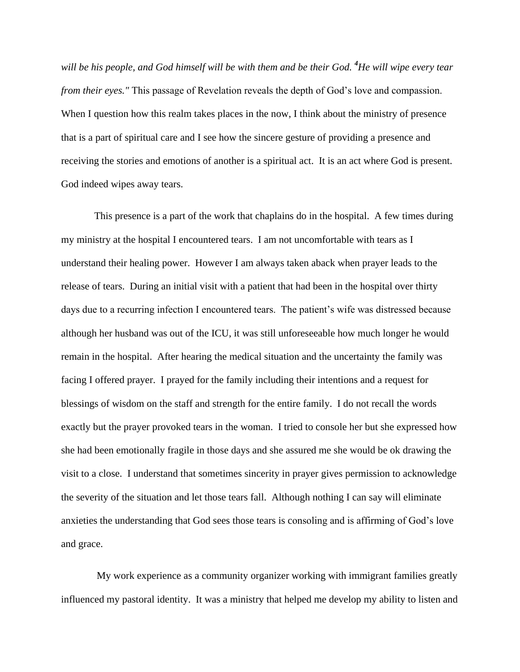*will be his people, and God himself will be with them and be their God. <sup>4</sup>He will wipe every tear from their eyes."* This passage of Revelation reveals the depth of God's love and compassion. When I question how this realm takes places in the now, I think about the ministry of presence that is a part of spiritual care and I see how the sincere gesture of providing a presence and receiving the stories and emotions of another is a spiritual act. It is an act where God is present. God indeed wipes away tears.

This presence is a part of the work that chaplains do in the hospital. A few times during my ministry at the hospital I encountered tears. I am not uncomfortable with tears as I understand their healing power. However I am always taken aback when prayer leads to the release of tears. During an initial visit with a patient that had been in the hospital over thirty days due to a recurring infection I encountered tears. The patient's wife was distressed because although her husband was out of the ICU, it was still unforeseeable how much longer he would remain in the hospital. After hearing the medical situation and the uncertainty the family was facing I offered prayer. I prayed for the family including their intentions and a request for blessings of wisdom on the staff and strength for the entire family. I do not recall the words exactly but the prayer provoked tears in the woman. I tried to console her but she expressed how she had been emotionally fragile in those days and she assured me she would be ok drawing the visit to a close. I understand that sometimes sincerity in prayer gives permission to acknowledge the severity of the situation and let those tears fall. Although nothing I can say will eliminate anxieties the understanding that God sees those tears is consoling and is affirming of God's love and grace.

 My work experience as a community organizer working with immigrant families greatly influenced my pastoral identity. It was a ministry that helped me develop my ability to listen and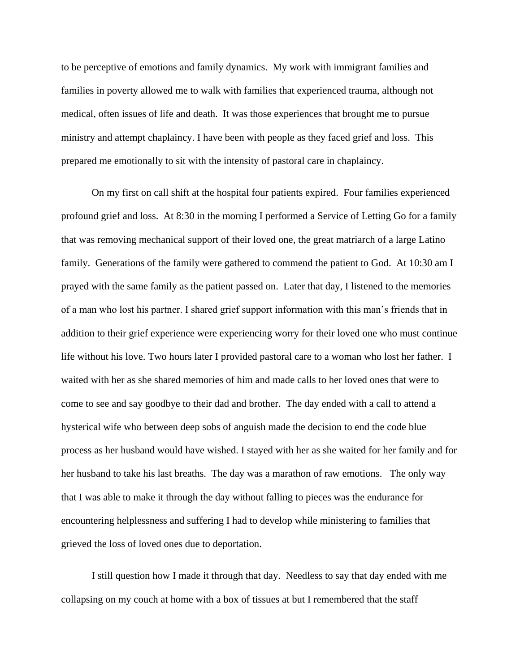to be perceptive of emotions and family dynamics. My work with immigrant families and families in poverty allowed me to walk with families that experienced trauma, although not medical, often issues of life and death. It was those experiences that brought me to pursue ministry and attempt chaplaincy. I have been with people as they faced grief and loss. This prepared me emotionally to sit with the intensity of pastoral care in chaplaincy.

On my first on call shift at the hospital four patients expired. Four families experienced profound grief and loss. At 8:30 in the morning I performed a Service of Letting Go for a family that was removing mechanical support of their loved one, the great matriarch of a large Latino family. Generations of the family were gathered to commend the patient to God. At 10:30 am I prayed with the same family as the patient passed on. Later that day, I listened to the memories of a man who lost his partner. I shared grief support information with this man's friends that in addition to their grief experience were experiencing worry for their loved one who must continue life without his love. Two hours later I provided pastoral care to a woman who lost her father. I waited with her as she shared memories of him and made calls to her loved ones that were to come to see and say goodbye to their dad and brother. The day ended with a call to attend a hysterical wife who between deep sobs of anguish made the decision to end the code blue process as her husband would have wished. I stayed with her as she waited for her family and for her husband to take his last breaths. The day was a marathon of raw emotions. The only way that I was able to make it through the day without falling to pieces was the endurance for encountering helplessness and suffering I had to develop while ministering to families that grieved the loss of loved ones due to deportation.

I still question how I made it through that day. Needless to say that day ended with me collapsing on my couch at home with a box of tissues at but I remembered that the staff